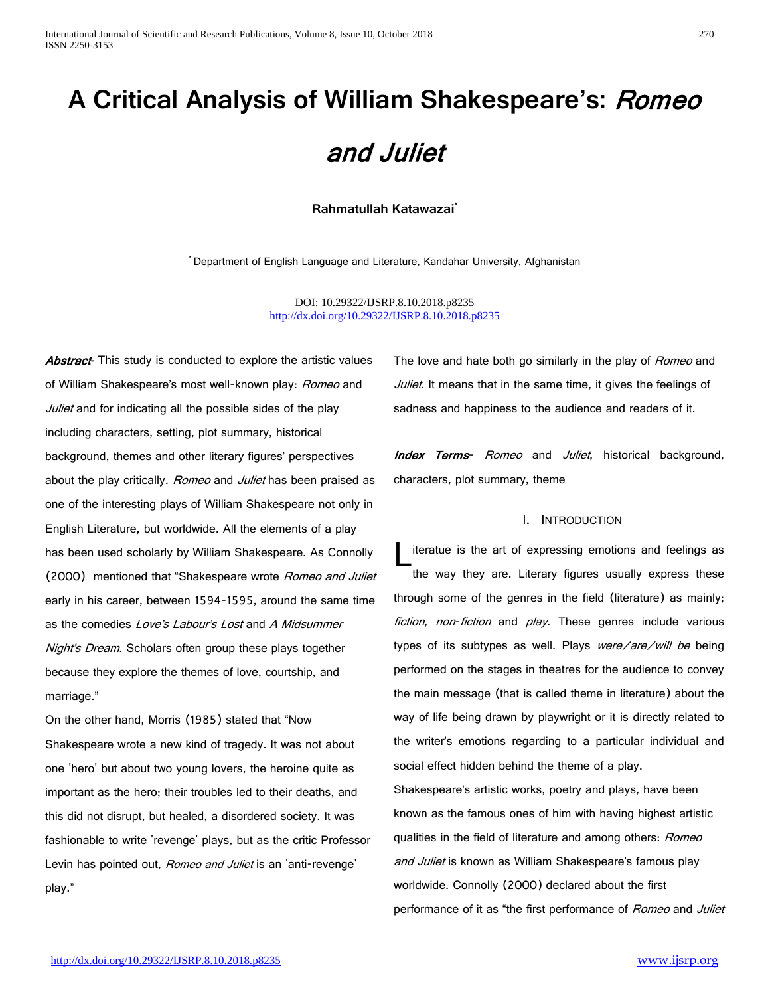# **A Critical Analysis of William Shakespeare's:** Romeo and Juliet

#### **Rahmatullah Katawazai\***

**\*** Department of English Language and Literature, Kandahar University, Afghanistan

DOI: 10.29322/IJSRP.8.10.2018.p8235 <http://dx.doi.org/10.29322/IJSRP.8.10.2018.p8235>

Abstract<sup>-</sup> This study is conducted to explore the artistic values of William Shakespeare's most well-known play: Romeo and Juliet and for indicating all the possible sides of the play including characters, setting, plot summary, historical background, themes and other literary figures' perspectives about the play critically. Romeo and Juliet has been praised as one of the interesting plays of William Shakespeare not only in English Literature, but worldwide. All the elements of a play has been used scholarly by William Shakespeare. As Connolly (2000) mentioned that "Shakespeare wrote *Romeo and Juliet* early in his career, between 1594-1595, around the same time as the comedies Love's Labour's Lost and A Midsummer Night's Dream. Scholars often group these plays together because they explore the themes of love, courtship, and marriage."

On the other hand, Morris (1985) stated that "Now Shakespeare wrote a new kind of tragedy. It was not about one 'hero' but about two young lovers, the heroine quite as important as the hero; their troubles led to their deaths, and this did not disrupt, but healed, a disordered society. It was fashionable to write 'revenge' plays, but as the critic Professor Levin has pointed out, Romeo and Juliet is an 'anti-revenge' play."

The love and hate both go similarly in the play of *Romeo* and Juliet. It means that in the same time, it gives the feelings of sadness and happiness to the audience and readers of it.

Index Terms- Romeo and Juliet, historical background, characters, plot summary, theme

#### I. INTRODUCTION

iteratue is the art of expressing emotions and feelings as the way they are. Literary figures usually express these through some of the genres in the field (literature) as mainly; fiction, non-fiction and play. These genres include various types of its subtypes as well. Plays were/are/will be being performed on the stages in theatres for the audience to convey the main message (that is called theme in literature) about the way of life being drawn by playwright or it is directly related to the writer's emotions regarding to a particular individual and social effect hidden behind the theme of a play. L

Shakespeare's artistic works, poetry and plays, have been known as the famous ones of him with having highest artistic qualities in the field of literature and among others: Romeo and Juliet is known as William Shakespeare's famous play worldwide. Connolly (2000) declared about the first performance of it as "the first performance of Romeo and Juliet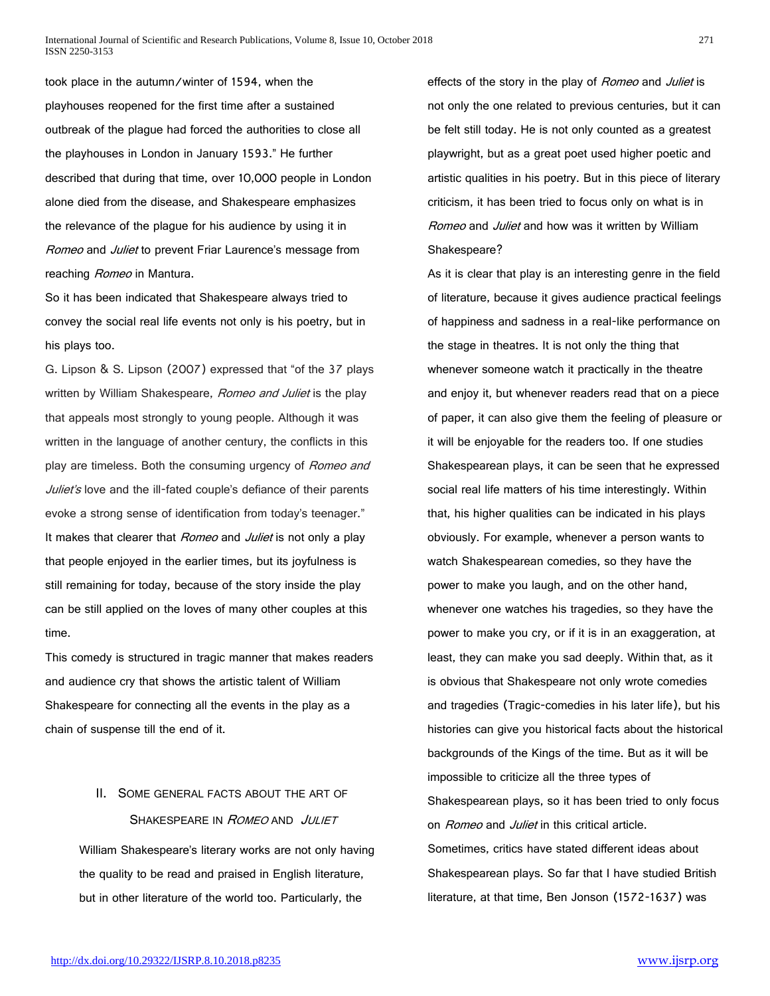took place in the autumn/winter of 1594, when the playhouses reopened for the first time after a sustained outbreak of the plague had forced the authorities to close all the playhouses in London in January 1593." He further described that during that time, over 10,000 people in London alone died from the disease, and Shakespeare emphasizes the relevance of the plague for his audience by using it in Romeo and Juliet to prevent Friar Laurence's message from reaching Romeo in Mantura.

So it has been indicated that Shakespeare always tried to convey the social real life events not only is his poetry, but in his plays too.

G. Lipson & S. Lipson (2007) expressed that "of the 37 plays written by William Shakespeare, Romeo and Juliet is the play that appeals most strongly to young people. Although it was written in the language of another century, the conflicts in this play are timeless. Both the consuming urgency of Romeo and Juliet's love and the ill-fated couple's defiance of their parents evoke a strong sense of identification from today's teenager." It makes that clearer that Romeo and Juliet is not only a play that people enjoyed in the earlier times, but its joyfulness is still remaining for today, because of the story inside the play can be still applied on the loves of many other couples at this time.

This comedy is structured in tragic manner that makes readers and audience cry that shows the artistic talent of William Shakespeare for connecting all the events in the play as a chain of suspense till the end of it.

# II. SOME GENERAL FACTS ABOUT THE ART OF SHAKESPEARE IN ROMEO AND JULIET

William Shakespeare's literary works are not only having the quality to be read and praised in English literature, but in other literature of the world too. Particularly, the

effects of the story in the play of Romeo and Juliet is not only the one related to previous centuries, but it can be felt still today. He is not only counted as a greatest playwright, but as a great poet used higher poetic and artistic qualities in his poetry. But in this piece of literary criticism, it has been tried to focus only on what is in Romeo and Juliet and how was it written by William Shakespeare?

As it is clear that play is an interesting genre in the field of literature, because it gives audience practical feelings of happiness and sadness in a real-like performance on the stage in theatres. It is not only the thing that whenever someone watch it practically in the theatre and enjoy it, but whenever readers read that on a piece of paper, it can also give them the feeling of pleasure or it will be enjoyable for the readers too. If one studies Shakespearean plays, it can be seen that he expressed social real life matters of his time interestingly. Within that, his higher qualities can be indicated in his plays obviously. For example, whenever a person wants to watch Shakespearean comedies, so they have the power to make you laugh, and on the other hand, whenever one watches his tragedies, so they have the power to make you cry, or if it is in an exaggeration, at least, they can make you sad deeply. Within that, as it is obvious that Shakespeare not only wrote comedies and tragedies (Tragic-comedies in his later life), but his histories can give you historical facts about the historical backgrounds of the Kings of the time. But as it will be impossible to criticize all the three types of Shakespearean plays, so it has been tried to only focus on Romeo and Juliet in this critical article. Sometimes, critics have stated different ideas about Shakespearean plays. So far that I have studied British literature, at that time, Ben Jonson (1572-1637) was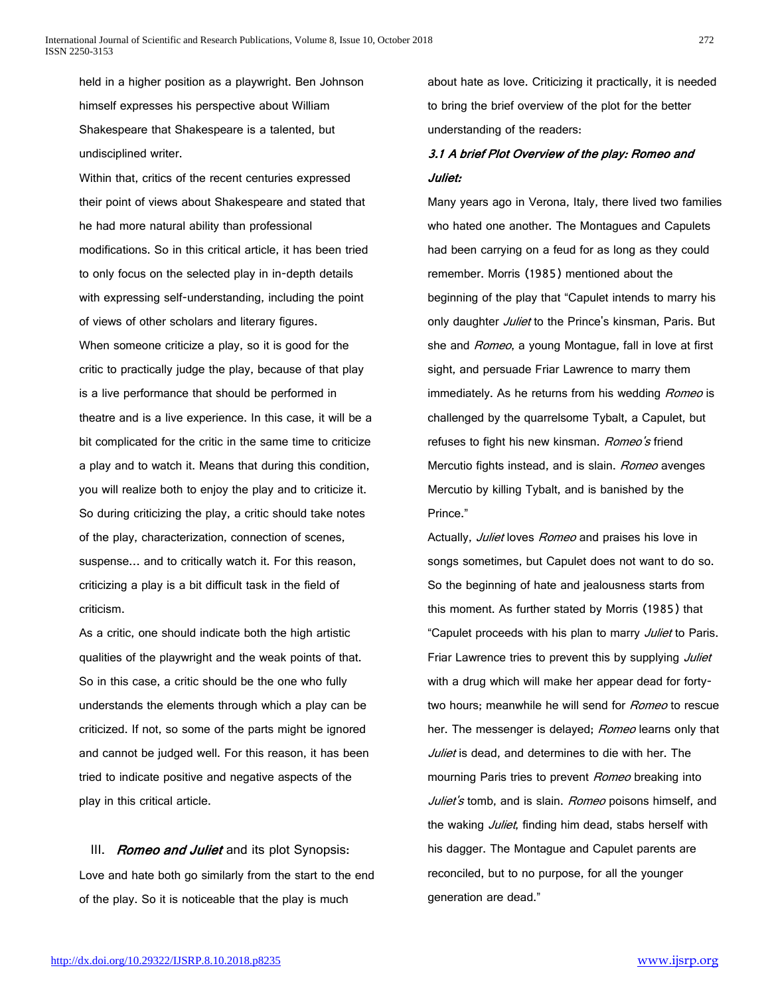held in a higher position as a playwright. Ben Johnson himself expresses his perspective about William Shakespeare that Shakespeare is a talented, but undisciplined writer.

Within that, critics of the recent centuries expressed their point of views about Shakespeare and stated that he had more natural ability than professional modifications. So in this critical article, it has been tried to only focus on the selected play in in-depth details with expressing self-understanding, including the point of views of other scholars and literary figures. When someone criticize a play, so it is good for the critic to practically judge the play, because of that play is a live performance that should be performed in theatre and is a live experience. In this case, it will be a bit complicated for the critic in the same time to criticize a play and to watch it. Means that during this condition, you will realize both to enjoy the play and to criticize it. So during criticizing the play, a critic should take notes of the play, characterization, connection of scenes, suspense… and to critically watch it. For this reason, criticizing a play is a bit difficult task in the field of criticism.

As a critic, one should indicate both the high artistic qualities of the playwright and the weak points of that. So in this case, a critic should be the one who fully understands the elements through which a play can be criticized. If not, so some of the parts might be ignored and cannot be judged well. For this reason, it has been tried to indicate positive and negative aspects of the play in this critical article.

III. Romeo and Juliet and its plot Synopsis: Love and hate both go similarly from the start to the end of the play. So it is noticeable that the play is much

about hate as love. Criticizing it practically, it is needed to bring the brief overview of the plot for the better understanding of the readers:

# 3.1 A brief Plot Overview of the play: Romeo and Juliet:

Many years ago in Verona, Italy, there lived two families who hated one another. The Montagues and Capulets had been carrying on a feud for as long as they could remember. Morris (1985) mentioned about the beginning of the play that "Capulet intends to marry his only daughter Juliet to the Prince's kinsman, Paris. But she and Romeo, a young Montague, fall in love at first sight, and persuade Friar Lawrence to marry them immediately. As he returns from his wedding Romeo is challenged by the quarrelsome Tybalt, a Capulet, but refuses to fight his new kinsman. Romeo's friend Mercutio fights instead, and is slain. Romeo avenges Mercutio by killing Tybalt, and is banished by the Prince."

Actually, *Juliet* loves Romeo and praises his love in songs sometimes, but Capulet does not want to do so. So the beginning of hate and jealousness starts from this moment. As further stated by Morris (1985) that "Capulet proceeds with his plan to marry *Juliet* to Paris. Friar Lawrence tries to prevent this by supplying Juliet with a drug which will make her appear dead for fortytwo hours; meanwhile he will send for Romeo to rescue her. The messenger is delayed; Romeo learns only that Juliet is dead, and determines to die with her. The mourning Paris tries to prevent Romeo breaking into Juliet's tomb, and is slain. Romeo poisons himself, and the waking *Juliet*, finding him dead, stabs herself with his dagger. The Montague and Capulet parents are reconciled, but to no purpose, for all the younger generation are dead."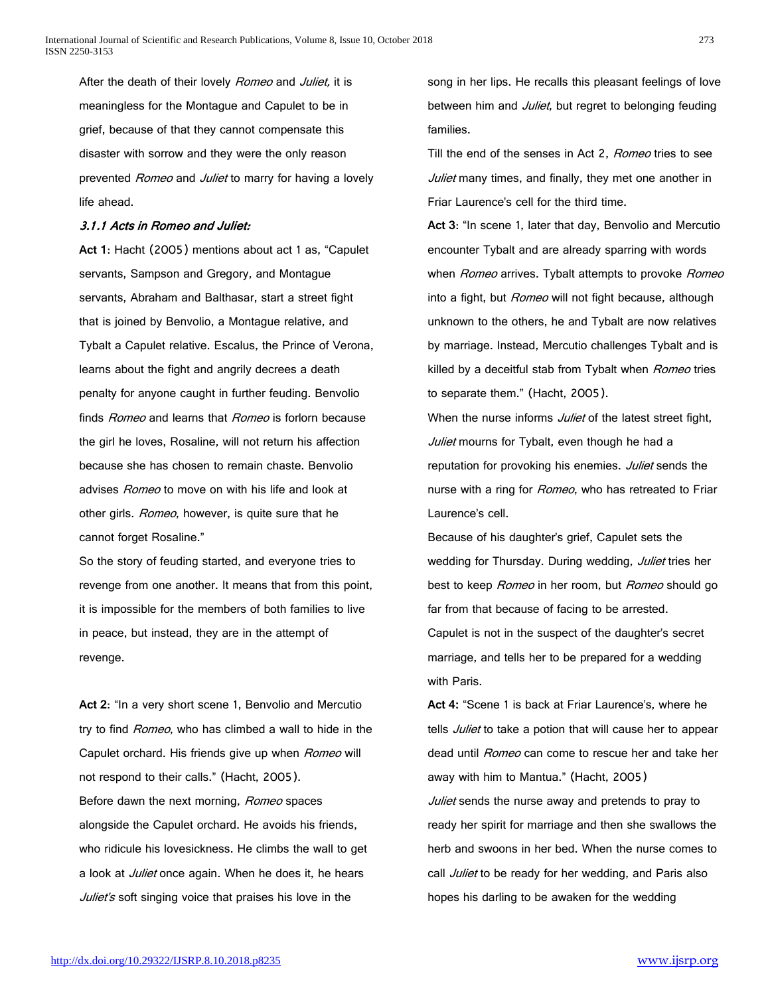After the death of their lovely Romeo and Juliet, it is meaningless for the Montague and Capulet to be in grief, because of that they cannot compensate this disaster with sorrow and they were the only reason prevented Romeo and Juliet to marry for having a lovely life ahead.

#### 3.1.1 Acts in Romeo and Juliet:

**Act 1**: Hacht (2005) mentions about act 1 as, "Capulet servants, Sampson and Gregory, and Montague servants, Abraham and Balthasar, start a street fight that is joined by Benvolio, a Montague relative, and Tybalt a Capulet relative. Escalus, the Prince of Verona, learns about the fight and angrily decrees a death penalty for anyone caught in further feuding. Benvolio finds *Romeo* and learns that *Romeo* is forlorn because the girl he loves, Rosaline, will not return his affection because she has chosen to remain chaste. Benvolio advises *Romeo* to move on with his life and look at other girls. Romeo, however, is quite sure that he cannot forget Rosaline."

So the story of feuding started, and everyone tries to revenge from one another. It means that from this point, it is impossible for the members of both families to live in peace, but instead, they are in the attempt of revenge.

**Act 2**: "In a very short scene 1, Benvolio and Mercutio try to find Romeo, who has climbed a wall to hide in the Capulet orchard. His friends give up when Romeo will not respond to their calls." (Hacht, 2005). Before dawn the next morning, Romeo spaces alongside the Capulet orchard. He avoids his friends, who ridicule his lovesickness. He climbs the wall to get a look at *Juliet* once again. When he does it, he hears Juliet's soft singing voice that praises his love in the

song in her lips. He recalls this pleasant feelings of love between him and *Juliet*, but regret to belonging feuding families.

Till the end of the senses in Act 2, Romeo tries to see Juliet many times, and finally, they met one another in Friar Laurence's cell for the third time.

**Act 3**: "In scene 1, later that day, Benvolio and Mercutio encounter Tybalt and are already sparring with words when Romeo arrives. Tybalt attempts to provoke Romeo into a fight, but Romeo will not fight because, although unknown to the others, he and Tybalt are now relatives by marriage. Instead, Mercutio challenges Tybalt and is killed by a deceitful stab from Tybalt when Romeo tries to separate them." (Hacht, 2005).

When the nurse informs *Juliet* of the latest street fight, Juliet mourns for Tybalt, even though he had a reputation for provoking his enemies. Juliet sends the nurse with a ring for Romeo, who has retreated to Friar Laurence's cell.

Because of his daughter's grief, Capulet sets the wedding for Thursday. During wedding, Juliet tries her best to keep Romeo in her room, but Romeo should go far from that because of facing to be arrested. Capulet is not in the suspect of the daughter's secret marriage, and tells her to be prepared for a wedding

with Paris.

**Act 4:** "Scene 1 is back at Friar Laurence's, where he tells *Juliet* to take a potion that will cause her to appear dead until Romeo can come to rescue her and take her away with him to Mantua." (Hacht, 2005)

Juliet sends the nurse away and pretends to pray to ready her spirit for marriage and then she swallows the herb and swoons in her bed. When the nurse comes to call Juliet to be ready for her wedding, and Paris also hopes his darling to be awaken for the wedding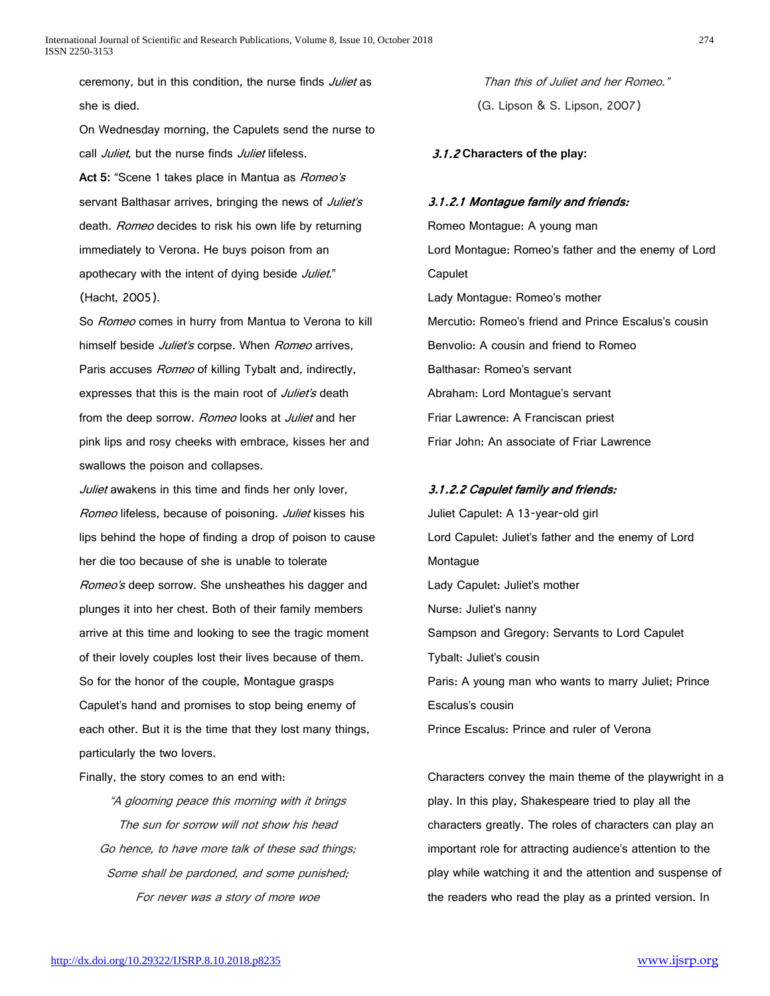ceremony, but in this condition, the nurse finds Juliet as she is died.

On Wednesday morning, the Capulets send the nurse to call *Juliet*, but the nurse finds *Juliet* lifeless. **Act 5:** "Scene 1 takes place in Mantua as Romeo's servant Balthasar arrives, bringing the news of Juliet's death. Romeo decides to risk his own life by returning immediately to Verona. He buys poison from an apothecary with the intent of dying beside Juliet." (Hacht, 2005).

So *Romeo* comes in hurry from Mantua to Verona to kill himself beside Juliet's corpse. When Romeo arrives, Paris accuses Romeo of killing Tybalt and, indirectly, expresses that this is the main root of Juliet's death from the deep sorrow. Romeo looks at Juliet and her pink lips and rosy cheeks with embrace, kisses her and swallows the poison and collapses.

Juliet awakens in this time and finds her only lover, Romeo lifeless, because of poisoning. Juliet kisses his lips behind the hope of finding a drop of poison to cause her die too because of she is unable to tolerate Romeo's deep sorrow. She unsheathes his dagger and plunges it into her chest. Both of their family members arrive at this time and looking to see the tragic moment of their lovely couples lost their lives because of them. So for the honor of the couple, Montague grasps Capulet's hand and promises to stop being enemy of each other. But it is the time that they lost many things, particularly the two lovers.

Finally, the story comes to an end with:

"A glooming peace this morning with it brings The sun for sorrow will not show his head Go hence, to have more talk of these sad things; Some shall be pardoned, and some punished; For never was a story of more woe

Than this of Juliet and her Romeo." (G. Lipson & S. Lipson, 2007)

3.1.2 **Characters of the play:**

#### 3.1.2.1 Montague family and friends:

Romeo Montague: A young man Lord Montague: Romeo's father and the enemy of Lord Capulet Lady Montague: Romeo's mother Mercutio: Romeo's friend and Prince Escalus's cousin Benvolio: A cousin and friend to Romeo Balthasar: Romeo's servant Abraham: Lord Montague's servant Friar Lawrence: A Franciscan priest Friar John: An associate of Friar Lawrence

#### 3.1.2.2 Capulet family and friends:

Juliet Capulet: A 13-year-old girl Lord Capulet: Juliet's father and the enemy of Lord Montague Lady Capulet: Juliet's mother Nurse: Juliet's nanny Sampson and Gregory: Servants to Lord Capulet Tybalt: Juliet's cousin Paris: A young man who wants to marry Juliet; Prince Escalus's cousin Prince Escalus: Prince and ruler of Verona

Characters convey the main theme of the playwright in a play. In this play, Shakespeare tried to play all the characters greatly. The roles of characters can play an important role for attracting audience's attention to the play while watching it and the attention and suspense of the readers who read the play as a printed version. In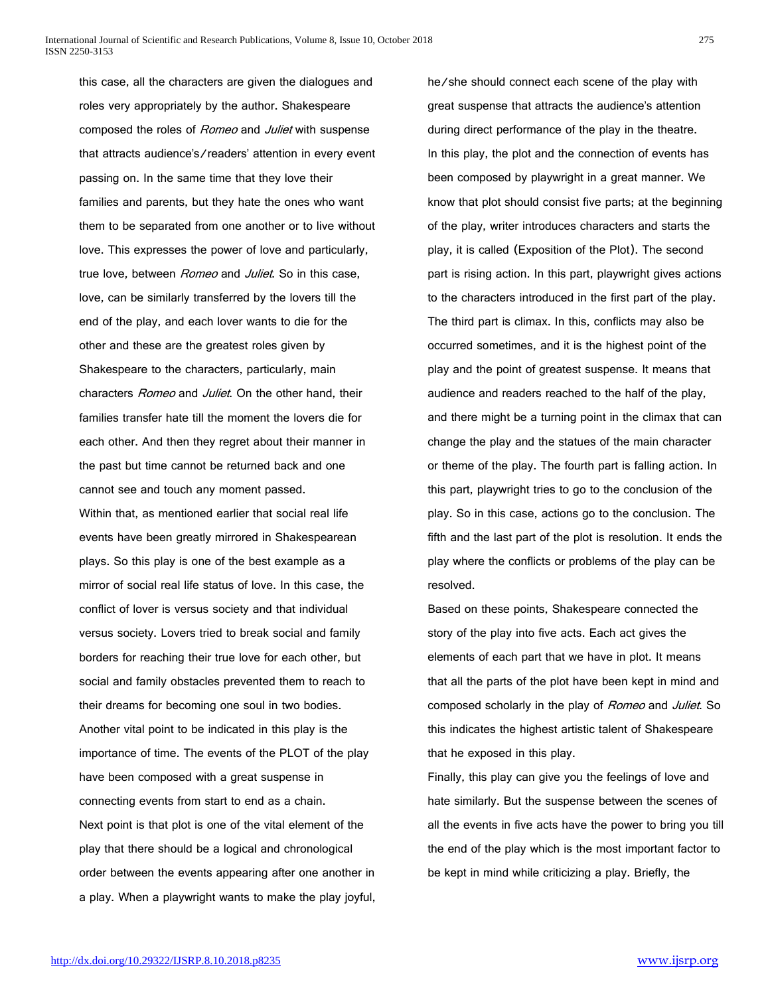this case, all the characters are given the dialogues and roles very appropriately by the author. Shakespeare composed the roles of Romeo and Juliet with suspense that attracts audience's/readers' attention in every event passing on. In the same time that they love their families and parents, but they hate the ones who want them to be separated from one another or to live without love. This expresses the power of love and particularly, true love, between Romeo and Juliet. So in this case, love, can be similarly transferred by the lovers till the end of the play, and each lover wants to die for the other and these are the greatest roles given by Shakespeare to the characters, particularly, main characters Romeo and Juliet. On the other hand, their families transfer hate till the moment the lovers die for each other. And then they regret about their manner in the past but time cannot be returned back and one cannot see and touch any moment passed. Within that, as mentioned earlier that social real life events have been greatly mirrored in Shakespearean plays. So this play is one of the best example as a mirror of social real life status of love. In this case, the conflict of lover is versus society and that individual versus society. Lovers tried to break social and family borders for reaching their true love for each other, but social and family obstacles prevented them to reach to their dreams for becoming one soul in two bodies. Another vital point to be indicated in this play is the importance of time. The events of the PLOT of the play have been composed with a great suspense in connecting events from start to end as a chain. Next point is that plot is one of the vital element of the play that there should be a logical and chronological order between the events appearing after one another in a play. When a playwright wants to make the play joyful,

he/she should connect each scene of the play with great suspense that attracts the audience's attention during direct performance of the play in the theatre. In this play, the plot and the connection of events has been composed by playwright in a great manner. We know that plot should consist five parts; at the beginning of the play, writer introduces characters and starts the play, it is called (Exposition of the Plot). The second part is rising action. In this part, playwright gives actions to the characters introduced in the first part of the play. The third part is climax. In this, conflicts may also be occurred sometimes, and it is the highest point of the play and the point of greatest suspense. It means that audience and readers reached to the half of the play, and there might be a turning point in the climax that can change the play and the statues of the main character or theme of the play. The fourth part is falling action. In this part, playwright tries to go to the conclusion of the play. So in this case, actions go to the conclusion. The fifth and the last part of the plot is resolution. It ends the play where the conflicts or problems of the play can be resolved.

Based on these points, Shakespeare connected the story of the play into five acts. Each act gives the elements of each part that we have in plot. It means that all the parts of the plot have been kept in mind and composed scholarly in the play of Romeo and Juliet. So this indicates the highest artistic talent of Shakespeare that he exposed in this play.

Finally, this play can give you the feelings of love and hate similarly. But the suspense between the scenes of all the events in five acts have the power to bring you till the end of the play which is the most important factor to be kept in mind while criticizing a play. Briefly, the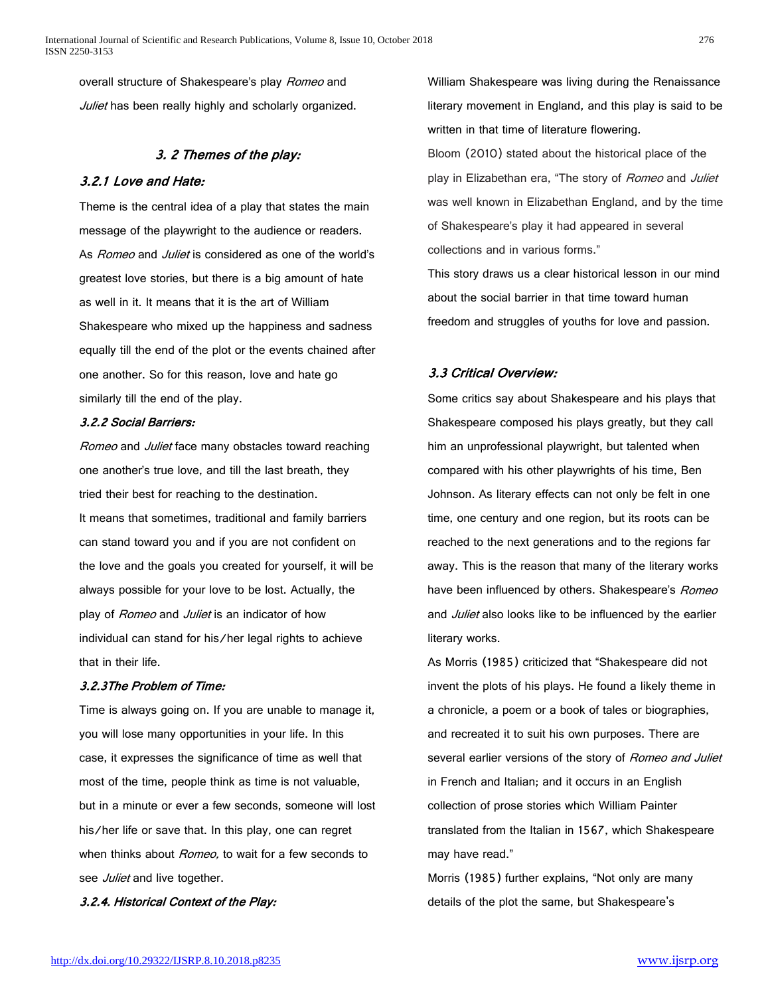overall structure of Shakespeare's play Romeo and Juliet has been really highly and scholarly organized.

# 3. 2 Themes of the play:

# 3.2.1 Love and Hate:

Theme is the central idea of a play that states the main message of the playwright to the audience or readers. As *Romeo* and *Juliet* is considered as one of the world's greatest love stories, but there is a big amount of hate as well in it. It means that it is the art of William Shakespeare who mixed up the happiness and sadness equally till the end of the plot or the events chained after one another. So for this reason, love and hate go similarly till the end of the play.

## 3.2.2 Social Barriers:

Romeo and Juliet face many obstacles toward reaching one another's true love, and till the last breath, they tried their best for reaching to the destination. It means that sometimes, traditional and family barriers can stand toward you and if you are not confident on the love and the goals you created for yourself, it will be always possible for your love to be lost. Actually, the play of Romeo and Juliet is an indicator of how individual can stand for his/her legal rights to achieve that in their life.

### 3.2.3The Problem of Time:

Time is always going on. If you are unable to manage it, you will lose many opportunities in your life. In this case, it expresses the significance of time as well that most of the time, people think as time is not valuable, but in a minute or ever a few seconds, someone will lost his/her life or save that. In this play, one can regret when thinks about *Romeo*, to wait for a few seconds to see Juliet and live together.

3.2.4. Historical Context of the Play:

William Shakespeare was living during the Renaissance literary movement in England, and this play is said to be written in that time of literature flowering.

Bloom (2010) stated about the historical place of the play in Elizabethan era, "The story of Romeo and Juliet was well known in Elizabethan England, and by the time of Shakespeare's play it had appeared in several collections and in various forms."

This story draws us a clear historical lesson in our mind about the social barrier in that time toward human freedom and struggles of youths for love and passion.

# 3.3 Critical Overview:

Some critics say about Shakespeare and his plays that Shakespeare composed his plays greatly, but they call him an unprofessional playwright, but talented when compared with his other playwrights of his time, Ben Johnson. As literary effects can not only be felt in one time, one century and one region, but its roots can be reached to the next generations and to the regions far away. This is the reason that many of the literary works have been influenced by others. Shakespeare's Romeo and Juliet also looks like to be influenced by the earlier literary works.

As Morris (1985) criticized that "Shakespeare did not invent the plots of his plays. He found a likely theme in a chronicle, a poem or a book of tales or biographies, and recreated it to suit his own purposes. There are several earlier versions of the story of Romeo and Juliet in French and Italian; and it occurs in an English collection of prose stories which William Painter translated from the Italian in 1567, which Shakespeare may have read."

Morris (1985) further explains, "Not only are many details of the plot the same, but Shakespeare's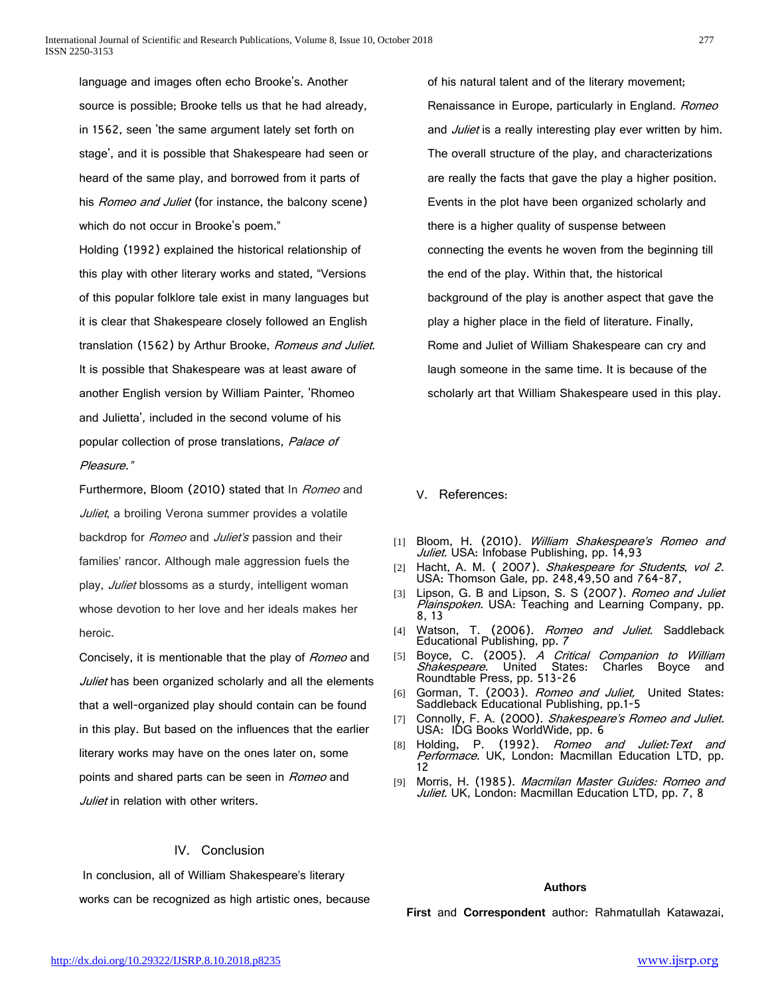language and images often echo Brooke's. Another source is possible; Brooke tells us that he had already, in 1562, seen 'the same argument lately set forth on stage', and it is possible that Shakespeare had seen or heard of the same play, and borrowed from it parts of his *Romeo and Juliet* (for instance, the balcony scene) which do not occur in Brooke's poem."

Holding (1992) explained the historical relationship of this play with other literary works and stated, "Versions of this popular folklore tale exist in many languages but it is clear that Shakespeare closely followed an English translation (1562) by Arthur Brooke, Romeus and Juliet. It is possible that Shakespeare was at least aware of another English version by William Painter, 'Rhomeo and Julietta', included in the second volume of his popular collection of prose translations, Palace of Pleasure."

Furthermore, Bloom (2010) stated that In Romeo and Juliet, a broiling Verona summer provides a volatile backdrop for Romeo and Juliet's passion and their families' rancor. Although male aggression fuels the play, Juliet blossoms as a sturdy, intelligent woman whose devotion to her love and her ideals makes her heroic.

Concisely, it is mentionable that the play of Romeo and Juliet has been organized scholarly and all the elements that a well-organized play should contain can be found in this play. But based on the influences that the earlier literary works may have on the ones later on, some points and shared parts can be seen in Romeo and Juliet in relation with other writers.

## IV. Conclusion

In conclusion, all of William Shakespeare's literary works can be recognized as high artistic ones, because of his natural talent and of the literary movement; Renaissance in Europe, particularly in England. Romeo and Juliet is a really interesting play ever written by him. The overall structure of the play, and characterizations are really the facts that gave the play a higher position. Events in the plot have been organized scholarly and there is a higher quality of suspense between connecting the events he woven from the beginning till the end of the play. Within that, the historical background of the play is another aspect that gave the play a higher place in the field of literature. Finally, Rome and Juliet of William Shakespeare can cry and laugh someone in the same time. It is because of the scholarly art that William Shakespeare used in this play.

#### V. References:

- [1] Bloom, H. (2010). William Shakespeare's Romeo and *Juliet.* USA: Infobase Publishing, pp. 14,93<br>[2] Hacht, A. M. ( 2007). *Shakespeare for Students, vol 2*.
- USA: Thomson Gale, pp. 248,49,50 and 764-87,
- [3] Lipson, G. B and Lipson, S. S (2007). Romeo and Juliet Plainspoken. USA: Teaching and Learning Company, pp. 8, 13
- [4] Watson, T. (2006). *Romeo and Juliet*. Saddleback Educational Publishing, pp. 7
- [5] Boyce, C. (2005). A Critical Companion to William Shakespeare. United States: Charles Boyce and Roundtable Press, pp. 513-26
- [6] Gorman, T. (2003). Romeo and Juliet, United States: Saddleback Educational Publishing, pp.1-5
- [7] Connolly, F. A. (2000). Shakespeare's Romeo and Juliet. USA: IDG Books WorldWide, pp. 6<br>[8] Holding, P. (1992). *Romeo*
- (1992). Romeo and Juliet:Text and Performace. UK, London: Macmillan Education LTD, pp. 12
- [9] Morris, H. (1985). Macmilan Master Guides: Romeo and Juliet. UK, London: Macmillan Education LTD, pp. 7, 8

#### **Authors**

**First** and **Correspondent** author: Rahmatullah Katawazai,